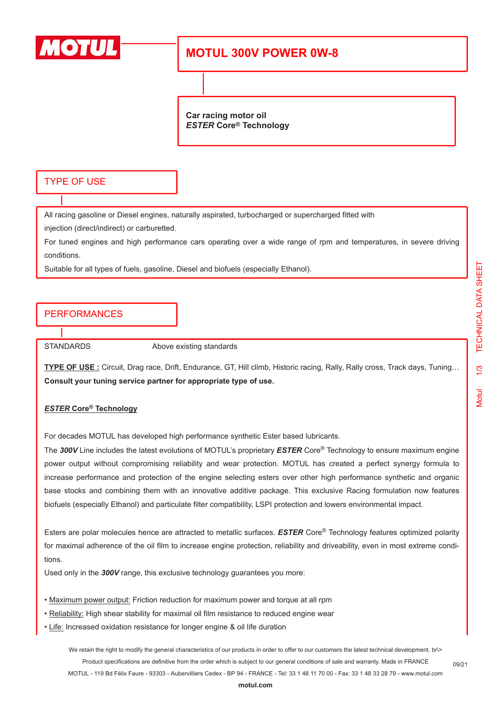

# **MOTUL 300V POWER 0W-8**

**Car racing motor oil** *ESTER* **Core® Technology**

### TYPE OF USE

All racing gasoline or Diesel engines, naturally aspirated, turbocharged or supercharged fitted with

injection (direct/indirect) or carburetted.

For tuned engines and high performance cars operating over a wide range of rpm and temperatures, in severe driving conditions.

Suitable for all types of fuels, gasoline, Diesel and biofuels (especially Ethanol).

## PERFORMANCES

STANDARDS Above existing standards

**TYPE OF USE :** Circuit, Drag race, Drift, Endurance, GT, Hill climb, Historic racing, Rally, Rally cross, Track days, Tuning… **Consult your tuning service partner for appropriate type of use.**

#### *ESTER* **Core® Technology**

For decades MOTUL has developed high performance synthetic Ester based lubricants.

The *300V* Line includes the latest evolutions of MOTUL's proprietary *ESTER* Core® Technology to ensure maximum engine power output without compromising reliability and wear protection. MOTUL has created a perfect synergy formula to increase performance and protection of the engine selecting esters over other high performance synthetic and organic base stocks and combining them with an innovative additive package. This exclusive Racing formulation now features biofuels (especially Ethanol) and particulate filter compatibility, LSPI protection and lowers environmental impact.

Esters are polar molecules hence are attracted to metallic surfaces. *ESTER* Core® Technology features optimized polarity for maximal adherence of the oil film to increase engine protection, reliability and driveability, even in most extreme conditions.

Used only in the *300V* range, this exclusive technology guarantees you more:

- Maximum power output: Friction reduction for maximum power and torque at all rpm
- Reliability: High shear stability for maximal oil film resistance to reduced engine wear
- Life: Increased oxidation resistance for longer engine & oil life duration

We retain the right to modify the general characteristics of our products in order to offer to our customers the latest technical development. br\> Product specifications are definitive from the order which is subject to our general conditions of sale and warranty. Made in FRANCE MOTUL - 119 Bd Félix Faure - 93303 - Aubervilliers Cedex - BP 94 - FRANCE - Tel: 33 1 48 11 70 00 - Fax: 33 1 48 33 28 79 - www.motul.com

09/21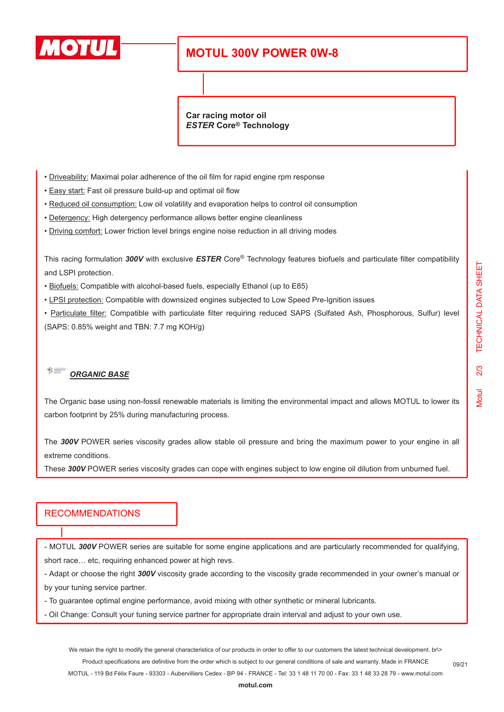

# **MOTUL 300V POWER 0W-8**

**Car racing motor oil** *ESTER* **Core® Technology**

- Driveability: Maximal polar adherence of the oil film for rapid engine rpm response
- Easy start: Fast oil pressure build-up and optimal oil flow
- Reduced oil consumption: Low oil volatility and evaporation helps to control oil consumption
- Detergency: High detergency performance allows better engine cleanliness
- Driving comfort: Lower friction level brings engine noise reduction in all driving modes

This racing formulation *300V* with exclusive *ESTER* Core® Technology features biofuels and particulate filter compatibility and LSPI protection.

- Biofuels: Compatible with alcohol-based fuels, especially Ethanol (up to E85)
- LPSI protection: Compatible with downsized engines subjected to Low Speed Pre-Ignition issues

• Particulate filter: Compatible with particulate filter requiring reduced SAPS (Sulfated Ash, Phosphorous, Sulfur) level (SAPS: 0.85% weight and TBN: 7.7 mg KOH/g)

#### $\frac{1}{\sqrt{2}}$ *ORGANIC BASE*

The Organic base using non-fossil renewable materials is limiting the environmental impact and allows MOTUL to lower its carbon footprint by 25% during manufacturing process.

The *300V* POWER series viscosity grades allow stable oil pressure and bring the maximum power to your engine in all extreme conditions.

These *300V* POWER series viscosity grades can cope with engines subject to low engine oil dilution from unburned fuel.

### RECOMMENDATIONS

- MOTUL *300V* POWER series are suitable for some engine applications and are particularly recommended for qualifying, short race… etc, requiring enhanced power at high revs.

- Adapt or choose the right *300V* viscosity grade according to the viscosity grade recommended in your owner's manual or by your tuning service partner.

- To guarantee optimal engine performance, avoid mixing with other synthetic or mineral lubricants.

- Oil Change: Consult your tuning service partner for appropriate drain interval and adjust to your own use.

We retain the right to modify the general characteristics of our products in order to offer to our customers the latest technical development. br\> Product specifications are definitive from the order which is subject to our general conditions of sale and warranty. Made in FRANCE

MOTUL - 119 Bd Félix Faure - 93303 - Aubervilliers Cedex - BP 94 - FRANCE - Tel: 33 1 48 11 70 00 - Fax: 33 1 48 33 28 79 - www.motul.com

09/21